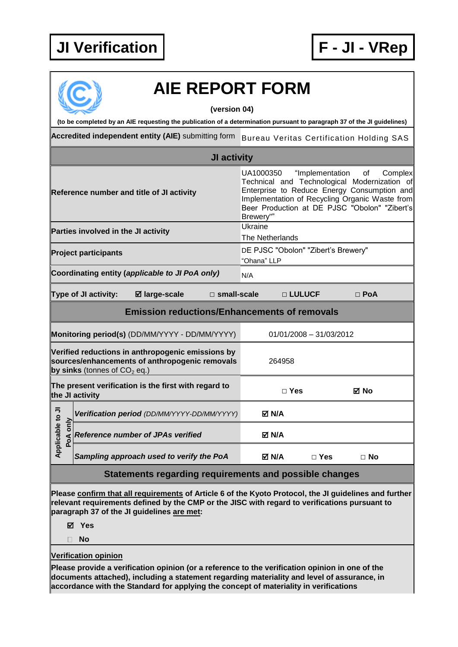

## **AIE REPORT FORM (version 04) (to be completed by an AIE requesting the publication of a determination pursuant to paragraph 37 of the JI guidelines) Accredited independent entity (AIE)** submitting form Bureau Veritas Certification Holding SAS **JI activity** UA1000350 "Implementation of Complex Technical and Technological Modernization of Enterprise to Reduce Energy Consumption and **Reference number and title of JI activity** Implementation of Recycling Organic Waste from Beer Production at DE PJSC "Obolon" "Zibert's Brewery"" **Parties involved in the JI activity Example 20** Ukraine The Netherlands **Project participants DE PJSC "Obolon" "Zibert's Brewery"** "Ohana" LLP **Coordinating entity (applicable to JI PoA only)** N/A **Type of JI activity: large-scale □ small-scale □ LULUCF □ PoA Emission reductions/Enhancements of removals Monitoring period(s)** (DD/MM/YYYY - DD/MM/YYYY) 01/01/2008 - 31/03/2012 **Verified reductions in anthropogenic emissions by sources/enhancements of anthropogenic removals**  264958 **by sinks** (tonnes of  $CO<sub>2</sub>$  eq.) **The present verification is the first with regard to the JI activity □ Yes No** Applicable to JI **Applicable to JI Positivation period** *(DD/MM/YYYY-DD/MM/YYYY)* **M/A**<br> **Poperiod Reference number of JPAs verified M/A**<br> **Poperiod M/A Reference number of JPAs verified** *Sampling approach used to verify the PoA* **N/A □ Yes □ No Statements regarding requirements and possible changes Please confirm that all requirements of Article 6 of the Kyoto Protocol, the JI guidelines and further relevant requirements defined by the CMP or the JISC with regard to verifications pursuant to**

**paragraph 37 of the JI guidelines are met:**

**Yes**

**No**

## **Verification opinion**

**Please provide a verification opinion (or a reference to the verification opinion in one of the documents attached), including a statement regarding materiality and level of assurance, in accordance with the Standard for applying the concept of materiality in verifications**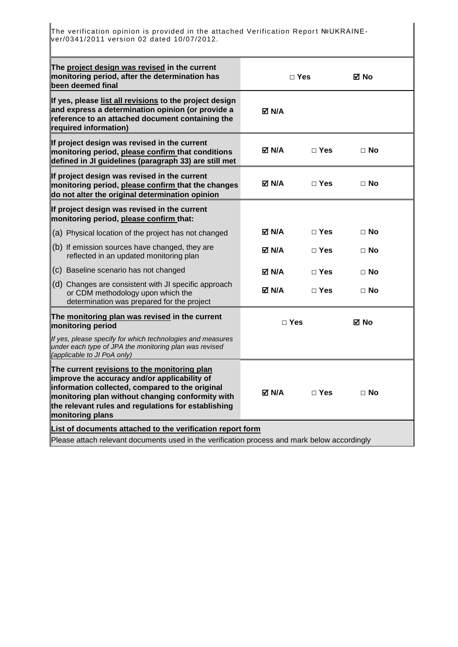The verification opinion is provided in the attached Verification Report №UKRAINEver/0341/2011 version 02 dated 10/07/2012.

| The project design was revised in the current<br>monitoring period, after the determination has<br>been deemed final                                                                                                                                                           | ⊠ No<br>$\Box$ Yes                 |              |             |  |
|--------------------------------------------------------------------------------------------------------------------------------------------------------------------------------------------------------------------------------------------------------------------------------|------------------------------------|--------------|-------------|--|
| If yes, please list all revisions to the project design<br>and express a determination opinion (or provide a<br>reference to an attached document containing the<br>required information)                                                                                      | M N/A                              |              |             |  |
| If project design was revised in the current<br>monitoring period, please confirm that conditions<br>defined in JI guidelines (paragraph 33) are still met                                                                                                                     | M N/A<br>$\sqcap$ Yes<br>$\Box$ No |              |             |  |
| If project design was revised in the current<br>monitoring period, please confirm that the changes<br>do not alter the original determination opinion                                                                                                                          | <b>⊠ N/A</b>                       | $\Box$ Yes   | $\Box$ No   |  |
| If project design was revised in the current<br>monitoring period, please confirm that:                                                                                                                                                                                        |                                    |              |             |  |
| (a) Physical location of the project has not changed                                                                                                                                                                                                                           | M N/A                              | □ Yes        | $\Box$ No   |  |
| (b) If emission sources have changed, they are<br>reflected in an updated monitoring plan                                                                                                                                                                                      | M N/A⊡                             | $\Box$ Yes   | □ No        |  |
| (c) Baseline scenario has not changed                                                                                                                                                                                                                                          | M N/A                              | $\sqcap$ Yes | $\sqcap$ No |  |
| (d) Changes are consistent with JI specific approach<br>or CDM methodology upon which the<br>determination was prepared for the project                                                                                                                                        | M N/A⊡                             | $\Box$ Yes   | $\Box$ No   |  |
| The monitoring plan was revised in the current<br>monitoring period                                                                                                                                                                                                            | $\Box$ Yes<br>⊠ No                 |              |             |  |
| If yes, please specify for which technologies and measures<br>under each type of JPA the monitoring plan was revised<br>(applicable to JI PoA only)                                                                                                                            |                                    |              |             |  |
| The current revisions to the monitoring plan<br>improve the accuracy and/or applicability of<br>information collected, compared to the original<br>monitoring plan without changing conformity with<br>the relevant rules and regulations for establishing<br>monitoring plans | <b>⊠ N/A</b>                       | $\Box$ Yes   | $\Box$ No   |  |
| List of documents attached to the verification report form                                                                                                                                                                                                                     |                                    |              |             |  |
| Please attach relevant documents used in the verification process and mark below accordingly                                                                                                                                                                                   |                                    |              |             |  |